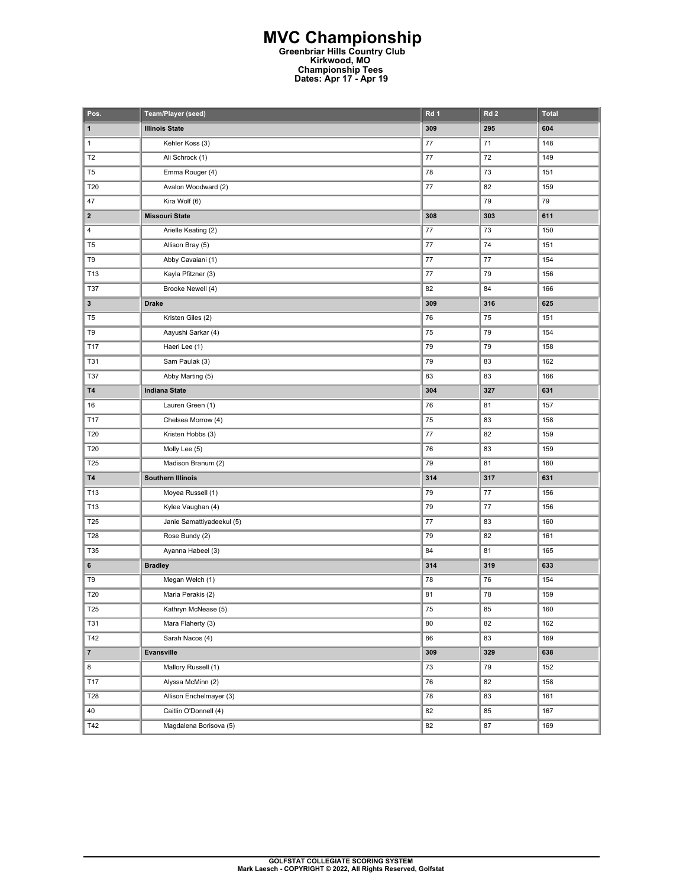## **MVC Championship Greenbriar Hills Country Club Kirkwood, MO Championship Tees Dates: Apr 17 - Apr 19**

| Pos.            | Team/Player (seed)        | Rd 1    | Rd <sub>2</sub> | <b>Total</b> |
|-----------------|---------------------------|---------|-----------------|--------------|
| 1               | <b>Illinois State</b>     | 309     | 295             | 604          |
| $\mathbf{1}$    | Kehler Koss (3)           | 77      | 71              | 148          |
| T <sub>2</sub>  | Ali Schrock (1)           | $77 \,$ | 72              | 149          |
| T <sub>5</sub>  | Emma Rouger (4)           | 78      | 73              | 151          |
| T20             | Avalon Woodward (2)       | $77 \,$ | 82              | 159          |
| 47              | Kira Wolf (6)             |         | 79              | 79           |
| $\mathbf{2}$    | <b>Missouri State</b>     | 308     | 303             | 611          |
| 4               | Arielle Keating (2)       | $77 \,$ | 73              | 150          |
| T <sub>5</sub>  | Allison Bray (5)          | 77      | 74              | 151          |
| T9              | Abby Cavaiani (1)         | $77 \,$ | 77              | 154          |
| T13             | Kayla Pfitzner (3)        | 77      | 79              | 156          |
| T37             | Brooke Newell (4)         | 82      | 84              | 166          |
| 3               | <b>Drake</b>              | 309     | 316             | 625          |
| T <sub>5</sub>  | Kristen Giles (2)         | 76      | 75              | 151          |
| T9              | Aayushi Sarkar (4)        | 75      | 79              | 154          |
| T17             | Haeri Lee (1)             | 79      | 79              | 158          |
| <b>T31</b>      | Sam Paulak (3)            | 79      | 83              | 162          |
| T37             | Abby Marting (5)          | 83      | 83              | 166          |
| <b>T4</b>       | <b>Indiana State</b>      | 304     | 327             | 631          |
| 16              | Lauren Green (1)          | 76      | 81              | 157          |
| T17             | Chelsea Morrow (4)        | 75      | 83              | 158          |
| T20             | Kristen Hobbs (3)         | $77 \,$ | 82              | 159          |
| T20             | Molly Lee (5)             | 76      | 83              | 159          |
| T25             | Madison Branum (2)        | 79      | 81              | 160          |
| <b>T4</b>       | <b>Southern Illinois</b>  | 314     | 317             | 631          |
| T13             | Moyea Russell (1)         | 79      | 77              | 156          |
| T13             | Kylee Vaughan (4)         | 79      | 77              | 156          |
| T25             | Janie Samattiyadeekul (5) | $77 \,$ | 83              | 160          |
| T28             | Rose Bundy (2)            | 79      | 82              | 161          |
| T35             | Ayanna Habeel (3)         | 84      | 81              | 165          |
| 6               | <b>Bradley</b>            | 314     | 319             | 633          |
| T9              | Megan Welch (1)           | 78      | 76              | 154          |
| T20             | Maria Perakis (2)         | 81      | 78              | 159          |
| T <sub>25</sub> | Kathryn McNease (5)       | 75      | 85              | 160          |
| <b>T31</b>      | Mara Flaherty (3)         | 80      | 82              | 162          |
| T42             | Sarah Nacos (4)           | 86      | 83              | 169          |
| $\overline{7}$  | Evansville                | 309     | 329             | 638          |
| 8               | Mallory Russell (1)       | 73      | 79              | 152          |
| T17             | Alyssa McMinn (2)         | 76      | 82              | 158          |
| T28             | Allison Enchelmayer (3)   | 78      | 83              | 161          |
| 40              | Caitlin O'Donnell (4)     | 82      | 85              | 167          |
| T42             | Magdalena Borisova (5)    | 82      | 87              | 169          |